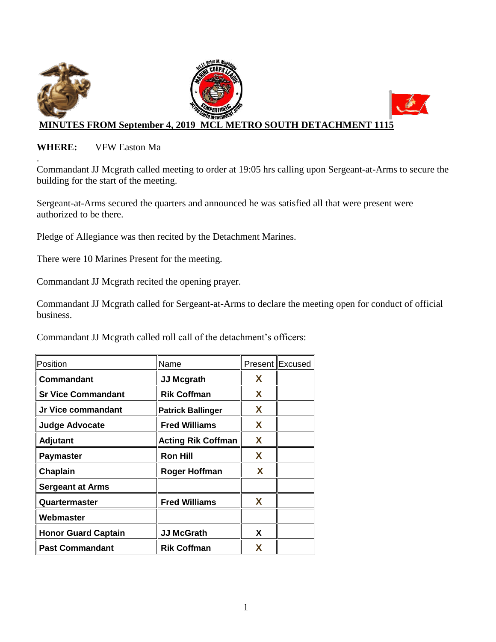

### **WHERE:** VFW Easton Ma

. Commandant JJ Mcgrath called meeting to order at 19:05 hrs calling upon Sergeant-at-Arms to secure the building for the start of the meeting.

Sergeant-at-Arms secured the quarters and announced he was satisfied all that were present were authorized to be there.

Pledge of Allegiance was then recited by the Detachment Marines.

There were 10 Marines Present for the meeting.

Commandant JJ Mcgrath recited the opening prayer.

Commandant JJ Mcgrath called for Sergeant-at-Arms to declare the meeting open for conduct of official business.

Commandant JJ Mcgrath called roll call of the detachment's officers:

| Position                   | Name                      |   | Present Excused |
|----------------------------|---------------------------|---|-----------------|
| Commandant                 | <b>JJ Mcgrath</b>         | X |                 |
| <b>Sr Vice Commandant</b>  | <b>Rik Coffman</b>        | X |                 |
| Jr Vice commandant         | <b>Patrick Ballinger</b>  | X |                 |
| <b>Judge Advocate</b>      | <b>Fred Williams</b>      | X |                 |
| <b>Adjutant</b>            | <b>Acting Rik Coffman</b> | X |                 |
| <b>Paymaster</b>           | <b>Ron Hill</b>           | X |                 |
| Chaplain                   | Roger Hoffman             | X |                 |
| <b>Sergeant at Arms</b>    |                           |   |                 |
| Quartermaster              | <b>Fred Williams</b>      | X |                 |
| Webmaster                  |                           |   |                 |
| <b>Honor Guard Captain</b> | <b>JJ McGrath</b>         | X |                 |
| <b>Past Commandant</b>     | <b>Rik Coffman</b>        | X |                 |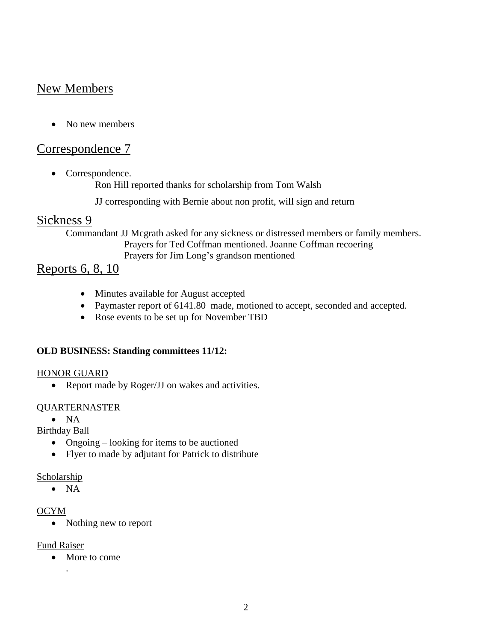# New Members

• No new members

## Correspondence 7

• Correspondence.

Ron Hill reported thanks for scholarship from Tom Walsh

JJ corresponding with Bernie about non profit, will sign and return

## Sickness 9

Commandant JJ Mcgrath asked for any sickness or distressed members or family members. Prayers for Ted Coffman mentioned. Joanne Coffman recoering Prayers for Jim Long's grandson mentioned

## Reports 6, 8, 10

- Minutes available for August accepted
- Paymaster report of 6141.80 made, motioned to accept, seconded and accepted.
- Rose events to be set up for November TBD

## **OLD BUSINESS: Standing committees 11/12:**

#### HONOR GUARD

• Report made by Roger/JJ on wakes and activities.

## QUARTERNASTER

 $\bullet$  NA

Birthday Ball

- Ongoing looking for items to be auctioned
- Flyer to made by adjutant for Patrick to distribute

Scholarship

 $\bullet$  NA

## OCYM

• Nothing new to report

#### Fund Raiser

• More to come

.